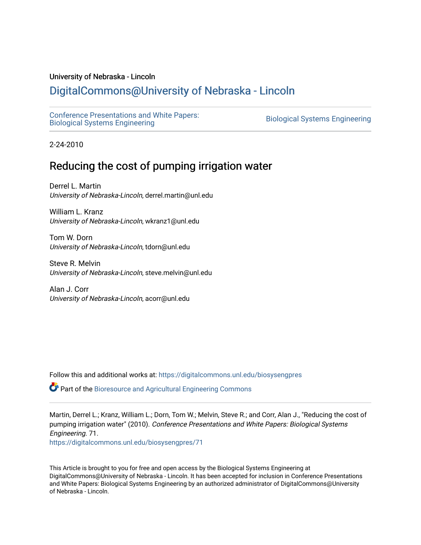#### University of Nebraska - Lincoln

## [DigitalCommons@University of Nebraska - Lincoln](https://digitalcommons.unl.edu/)

[Conference Presentations and White Papers:](https://digitalcommons.unl.edu/biosysengpres)  [Biological Systems Engineering](https://digitalcommons.unl.edu/biosysengpres) [Biological Systems Engineering](https://digitalcommons.unl.edu/agbiosyseng) 

2-24-2010

# Reducing the cost of pumping irrigation water

Derrel L. Martin University of Nebraska-Lincoln, derrel.martin@unl.edu

William L. Kranz University of Nebraska-Lincoln, wkranz1@unl.edu

Tom W. Dorn University of Nebraska-Lincoln, tdorn@unl.edu

Steve R. Melvin University of Nebraska-Lincoln, steve.melvin@unl.edu

Alan J. Corr University of Nebraska-Lincoln, acorr@unl.edu

Follow this and additional works at: [https://digitalcommons.unl.edu/biosysengpres](https://digitalcommons.unl.edu/biosysengpres?utm_source=digitalcommons.unl.edu%2Fbiosysengpres%2F71&utm_medium=PDF&utm_campaign=PDFCoverPages)

Part of the [Bioresource and Agricultural Engineering Commons](https://network.bepress.com/hgg/discipline/1056?utm_source=digitalcommons.unl.edu%2Fbiosysengpres%2F71&utm_medium=PDF&utm_campaign=PDFCoverPages)

Martin, Derrel L.; Kranz, William L.; Dorn, Tom W.; Melvin, Steve R.; and Corr, Alan J., "Reducing the cost of pumping irrigation water" (2010). Conference Presentations and White Papers: Biological Systems Engineering. 71.

[https://digitalcommons.unl.edu/biosysengpres/71](https://digitalcommons.unl.edu/biosysengpres/71?utm_source=digitalcommons.unl.edu%2Fbiosysengpres%2F71&utm_medium=PDF&utm_campaign=PDFCoverPages) 

This Article is brought to you for free and open access by the Biological Systems Engineering at DigitalCommons@University of Nebraska - Lincoln. It has been accepted for inclusion in Conference Presentations and White Papers: Biological Systems Engineering by an authorized administrator of DigitalCommons@University of Nebraska - Lincoln.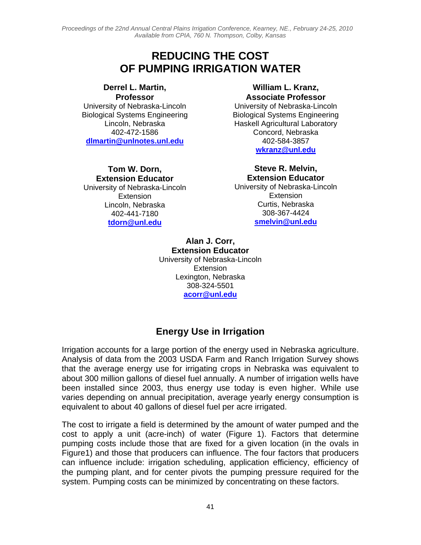*Proceedings of the 22nd Annual Central Plains Irrigation Conference, Kearney, NE., February 24-25, 2010 Available from CPIA, 760 N. Thompson, Colby, Kansas*

## **REDUCING THE COST OF PUMPING IRRIGATION WATER**

**Derrel L. Martin, Professor**  University of Nebraska-Lincoln Biological Systems Engineering Lincoln, Nebraska 402-472-1586 **dlmartin@unlnotes.unl.edu**

**Tom W. Dorn, Extension Educator**  University of Nebraska-Lincoln **Extension** Lincoln, Nebraska 402-441-7180 **tdorn@unl.edu**

#### **William L. Kranz, Associate Professor**

University of Nebraska-Lincoln Biological Systems Engineering Haskell Agricultural Laboratory Concord, Nebraska 402-584-3857 **wkranz@unl.edu**

> **Steve R. Melvin, Extension Educator**

University of Nebraska-Lincoln **Extension** Curtis, Nebraska 308-367-4424 **smelvin@unl.edu**

**Alan J. Corr, Extension Educator**  University of Nebraska-Lincoln Extension Lexington, Nebraska 308-324-5501 **acorr@unl.edu**

### **Energy Use in Irrigation**

Irrigation accounts for a large portion of the energy used in Nebraska agriculture. Analysis of data from the 2003 USDA Farm and Ranch Irrigation Survey shows that the average energy use for irrigating crops in Nebraska was equivalent to about 300 million gallons of diesel fuel annually. A number of irrigation wells have been installed since 2003, thus energy use today is even higher. While use varies depending on annual precipitation, average yearly energy consumption is equivalent to about 40 gallons of diesel fuel per acre irrigated.

The cost to irrigate a field is determined by the amount of water pumped and the cost to apply a unit (acre-inch) of water (Figure 1). Factors that determine pumping costs include those that are fixed for a given location (in the ovals in Figure1) and those that producers can influence. The four factors that producers can influence include: irrigation scheduling, application efficiency, efficiency of the pumping plant, and for center pivots the pumping pressure required for the system. Pumping costs can be minimized by concentrating on these factors.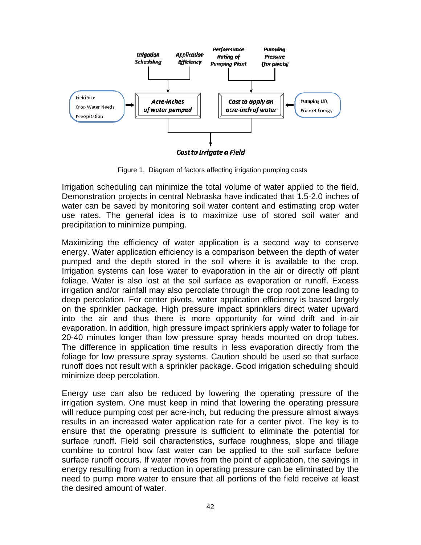

Figure 1. Diagram of factors affecting irrigation pumping costs

Irrigation scheduling can minimize the total volume of water applied to the field. Demonstration projects in central Nebraska have indicated that 1.5-2.0 inches of water can be saved by monitoring soil water content and estimating crop water use rates. The general idea is to maximize use of stored soil water and precipitation to minimize pumping.

Maximizing the efficiency of water application is a second way to conserve energy. Water application efficiency is a comparison between the depth of water pumped and the depth stored in the soil where it is available to the crop. Irrigation systems can lose water to evaporation in the air or directly off plant foliage. Water is also lost at the soil surface as evaporation or runoff. Excess irrigation and/or rainfall may also percolate through the crop root zone leading to deep percolation. For center pivots, water application efficiency is based largely on the sprinkler package. High pressure impact sprinklers direct water upward into the air and thus there is more opportunity for wind drift and in-air evaporation. In addition, high pressure impact sprinklers apply water to foliage for 20-40 minutes longer than low pressure spray heads mounted on drop tubes. The difference in application time results in less evaporation directly from the foliage for low pressure spray systems. Caution should be used so that surface runoff does not result with a sprinkler package. Good irrigation scheduling should minimize deep percolation.

Energy use can also be reduced by lowering the operating pressure of the irrigation system. One must keep in mind that lowering the operating pressure will reduce pumping cost per acre-inch, but reducing the pressure almost always results in an increased water application rate for a center pivot. The key is to ensure that the operating pressure is sufficient to eliminate the potential for surface runoff. Field soil characteristics, surface roughness, slope and tillage combine to control how fast water can be applied to the soil surface before surface runoff occurs. If water moves from the point of application, the savings in energy resulting from a reduction in operating pressure can be eliminated by the need to pump more water to ensure that all portions of the field receive at least the desired amount of water.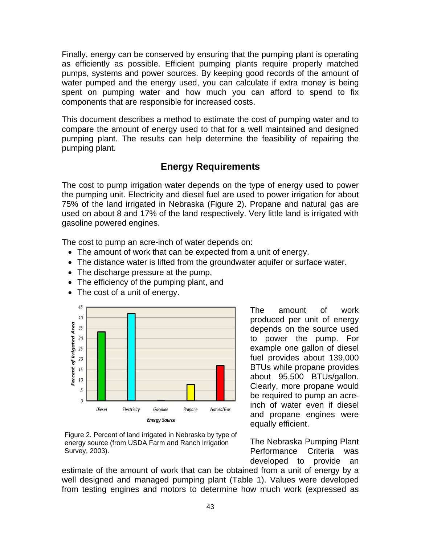Finally, energy can be conserved by ensuring that the pumping plant is operating as efficiently as possible. Efficient pumping plants require properly matched pumps, systems and power sources. By keeping good records of the amount of water pumped and the energy used, you can calculate if extra money is being spent on pumping water and how much you can afford to spend to fix components that are responsible for increased costs.

This document describes a method to estimate the cost of pumping water and to compare the amount of energy used to that for a well maintained and designed pumping plant. The results can help determine the feasibility of repairing the pumping plant.

### **Energy Requirements**

The cost to pump irrigation water depends on the type of energy used to power the pumping unit. Electricity and diesel fuel are used to power irrigation for about 75% of the land irrigated in Nebraska (Figure 2). Propane and natural gas are used on about 8 and 17% of the land respectively. Very little land is irrigated with gasoline powered engines.

The cost to pump an acre-inch of water depends on:

- The amount of work that can be expected from a unit of energy.
- The distance water is lifted from the groundwater aquifer or surface water.
- The discharge pressure at the pump,
- The efficiency of the pumping plant, and
- The cost of a unit of energy.



The amount of work produced per unit of energy depends on the source used to power the pump. For example one gallon of diesel fuel provides about 139,000 BTUs while propane provides about 95,500 BTUs/gallon. Clearly, more propane would be required to pump an acreinch of water even if diesel and propane engines were equally efficient.

Figure 2. Percent of land irrigated in Nebraska by type of energy source (from USDA Farm and Ranch Irrigation Survey, 2003).

The Nebraska Pumping Plant Performance Criteria was developed to provide an

estimate of the amount of work that can be obtained from a unit of energy by a well designed and managed pumping plant (Table 1). Values were developed from testing engines and motors to determine how much work (expressed as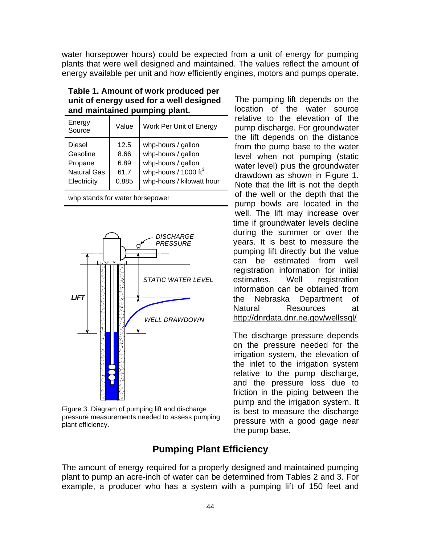water horsepower hours) could be expected from a unit of energy for pumping plants that were well designed and maintained. The values reflect the amount of energy available per unit and how efficiently engines, motors and pumps operate.

| Energy<br>Source                                                   | Value                                 | Work Per Unit of Energy                                                                                                        |
|--------------------------------------------------------------------|---------------------------------------|--------------------------------------------------------------------------------------------------------------------------------|
| Diesel<br>Gasoline<br>Propane<br><b>Natural Gas</b><br>Electricity | 12.5<br>8.66<br>6.89<br>61.7<br>0.885 | whp-hours / gallon<br>whp-hours / gallon<br>whp-hours / gallon<br>whp-hours / $1000 \text{ ft}^3$<br>whp-hours / kilowatt hour |
|                                                                    |                                       |                                                                                                                                |

**Table 1. Amount of work produced per unit of energy used for a well designed and maintained pumping plant.** 

whp stands for water horsepower



Figure 3. Diagram of pumping lift and discharge pressure measurements needed to assess pumping plant efficiency.

The pumping lift depends on the location of the water source relative to the elevation of the pump discharge. For groundwater the lift depends on the distance from the pump base to the water level when not pumping (static water level) plus the groundwater drawdown as shown in Figure 1. Note that the lift is not the depth of the well or the depth that the pump bowls are located in the well. The lift may increase over time if groundwater levels decline during the summer or over the years. It is best to measure the pumping lift directly but the value can be estimated from well registration information for initial estimates. Well registration information can be obtained from the Nebraska Department of Natural Resources at http://dnrdata.dnr.ne.gov/wellssql/

The discharge pressure depends on the pressure needed for the irrigation system, the elevation of the inlet to the irrigation system relative to the pump discharge, and the pressure loss due to friction in the piping between the pump and the irrigation system. It is best to measure the discharge pressure with a good gage near the pump base.

### **Pumping Plant Efficiency**

The amount of energy required for a properly designed and maintained pumping plant to pump an acre-inch of water can be determined from Tables 2 and 3. For example, a producer who has a system with a pumping lift of 150 feet and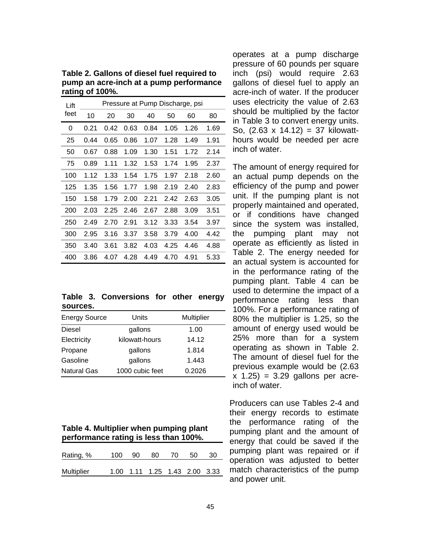**Table 2. Gallons of diesel fuel required to pump an acre-inch at a pump performance rating of 100%.** 

| Lift |      |      |      |      |      | Pressure at Pump Discharge, psi |      |
|------|------|------|------|------|------|---------------------------------|------|
| feet | 10   | 20   | 30   | 40   | 50   | 60                              | 80   |
| 0    | 0.21 | 0.42 | 0.63 | 0.84 | 1.05 | 1.26                            | 1.69 |
| 25   | 0.44 | 0.65 | 0.86 | 1.07 | 1.28 | 1.49                            | 1.91 |
| 50   | 0.67 | 0.88 | 1.09 | 1.30 | 1.51 | 1.72                            | 2.14 |
| 75   | 0.89 | 1.11 | 1.32 | 1.53 | 1.74 | 1.95                            | 2.37 |
| 100  | 1.12 | 1.33 | 1.54 | 1.75 | 1.97 | 2.18                            | 2.60 |
| 125  | 1.35 | 1.56 | 1.77 | 1.98 | 2.19 | 2.40                            | 2.83 |
| 150  | 1.58 | 1.79 | 2.00 | 2.21 | 2.42 | 2.63                            | 3.05 |
| 200  | 2.03 | 2.25 | 2.46 | 2.67 | 2.88 | 3.09                            | 3.51 |
| 250  | 2.49 | 2.70 | 2.91 | 3.12 | 3.33 | 3.54                            | 3.97 |
| 300  | 2.95 | 3.16 | 3.37 | 3.58 | 3.79 | 4.00                            | 4.42 |
| 350  | 3.40 | 3.61 | 3.82 | 4.03 | 4.25 | 4.46                            | 4.88 |
| 400  | 3.86 | 4.07 | 4.28 | 4.49 | 4.70 | 4.91                            | 5.33 |

**Table 3. Conversions for other energy sources.** 

| <b>Energy Source</b> | Units           | Multiplier |
|----------------------|-----------------|------------|
| Diesel               | gallons         | 1.00       |
| Electricity          | kilowatt-hours  | 14.12      |
| Propane              | gallons         | 1.814      |
| Gasoline             | gallons         | 1.443      |
| <b>Natural Gas</b>   | 1000 cubic feet | 0.2026     |

| Table 4. Multiplier when pumping plant |
|----------------------------------------|
| performance rating is less than 100%.  |

| Rating, %         | 100 | 90 | -80                           | -70. | -50 | -30 |
|-------------------|-----|----|-------------------------------|------|-----|-----|
| <b>Multiplier</b> |     |    | 1.00 1.11 1.25 1.43 2.00 3.33 |      |     |     |

operates at a pump discharge pressure of 60 pounds per square inch (psi) would require 2.63 gallons of diesel fuel to apply an acre-inch of water. If the producer uses electricity the value of 2.63 should be multiplied by the factor in Table 3 to convert energy units. So, (2.63 x 14.12) = 37 kilowatthours would be needed per acre inch of water.

The amount of energy required for an actual pump depends on the efficiency of the pump and power unit. If the pumping plant is not properly maintained and operated, or if conditions have changed since the system was installed, the pumping plant may not operate as efficiently as listed in Table 2. The energy needed for an actual system is accounted for in the performance rating of the pumping plant. Table 4 can be used to determine the impact of a performance rating less than 100%. For a performance rating of 80% the multiplier is 1.25, so the amount of energy used would be 25% more than for a system operating as shown in Table 2. The amount of diesel fuel for the previous example would be (2.63  $x$  1.25) = 3.29 gallons per acreinch of water.

Producers can use Tables 2-4 and their energy records to estimate the performance rating of the pumping plant and the amount of energy that could be saved if the pumping plant was repaired or if operation was adjusted to better match characteristics of the pump and power unit.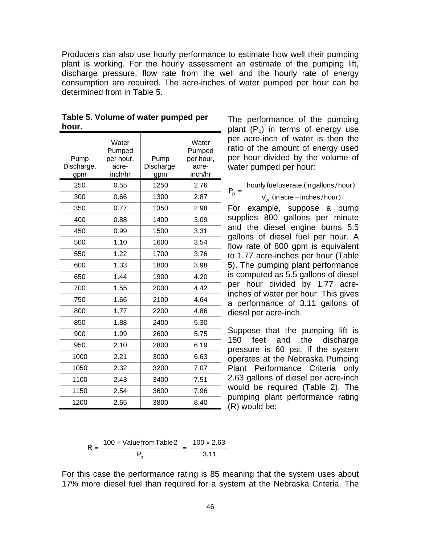Producers can also use hourly performance to estimate how well their pumping plant is working. For the hourly assessment an estimate of the pumping lift, discharge pressure, flow rate from the well and the hourly rate of energy consumption are required. The acre-inches of water pumped per hour can be determined from in Table 5.

| Pump<br>Discharge,<br>gpm | Water<br>Pumped<br>per hour,<br>acre-<br>inch/hr | Pump<br>Discharge,<br>gpm | Water<br>Pumped<br>per hour,<br>acre-<br>inch/hr |
|---------------------------|--------------------------------------------------|---------------------------|--------------------------------------------------|
| 250                       | 0.55                                             | 1250                      | 2.76                                             |
| 300                       | 0.66                                             | 1300                      | 2.87                                             |
| 350                       | 0.77                                             | 1350                      | 2.98                                             |
| 400                       | 0.88                                             | 1400                      | 3.09                                             |
| 450                       | 0.99                                             | 1500                      | 3.31                                             |
| 500                       | 1.10                                             | 1600                      | 3.54                                             |
| 550                       | 1.22                                             | 1700                      | 3.76                                             |
| 600                       | 1.33                                             | 1800                      | 3.98                                             |
| 650                       | 1.44                                             | 1900                      | 4.20                                             |
| 700                       | 1.55                                             | 2000                      | 4.42                                             |
| 750                       | 1.66                                             | 2100                      | 4.64                                             |
| 800                       | 1.77                                             | 2200                      | 4.86                                             |
| 850                       | 1.88                                             | 2400                      | 5.30                                             |
| 900                       | 1.99                                             | 2600                      | 5.75                                             |
| 950                       | 2.10                                             | 2800                      | 6.19                                             |
| 1000                      | 2.21                                             | 3000                      | 6.63                                             |
| 1050                      | 2.32                                             | 3200                      | 7.07                                             |
| 1100                      | 2.43                                             | 3400                      | 7.51                                             |
| 1150                      | 2.54                                             | 3600                      | 7.96                                             |
| 1200                      | 2.65                                             | 3800                      | 8.40                                             |

| Table 5. Volume of water pumped per |  |
|-------------------------------------|--|
| hour.                               |  |

The performance of the pumping plant  $(P_p)$  in terms of energy use per acre-inch of water is then the ratio of the amount of energy used per hour divided by the volume of water pumped per hour:

 $P_p = \frac{hourly$  fueluserate (ingallons/hour)<br> $V_w$  (inacre-inches/hour)

$$
V_w
$$
 (inacre – inches/hour)

For example, suppose a pump supplies 800 gallons per minute and the diesel engine burns 5.5 gallons of diesel fuel per hour. A flow rate of 800 gpm is equivalent to 1.77 acre-inches per hour (Table 5). The pumping plant performance is computed as 5.5 gallons of diesel per hour divided by 1.77 acre-- inches of water per hour. This gives a performance of 3.11 gallons of diesel per acre-inch.

Suppose that the pumping lift is - 150 feet and the discharge pressure is 60 psi. If the system operates at the Nebraska Pumping Plant Performance Criteria only 2.63 gallons of diesel per acre-inch would be required (Table 2). The - pumping plant performance rating  $(R)$  would be:

$$
R = \frac{100 \times \text{Value from Table 2}}{P_p} = \frac{100 \times 2.63}{3.11}
$$

For this case the performance rating is 85 meaning that the system uses about 17% more diesel fuel than required for a system at the Nebraska Criteria. The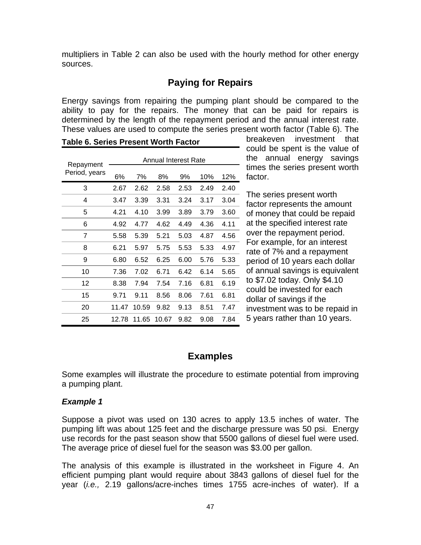multipliers in Table 2 can also be used with the hourly method for other energy sources.

## **Paying for Repairs**

Energy savings from repairing the pumping plant should be compared to the ability to pay for the repairs. The money that can be paid for repairs is determined by the length of the repayment period and the annual interest rate. These values are used to compute the series present worth factor (Table 6). The

| Repayment     |       |       | Annual Interest Rate |      |      |      |
|---------------|-------|-------|----------------------|------|------|------|
| Period, years | 6%    | 7%    | 8%                   | 9%   | 10%  | 12%  |
| 3             | 2.67  | 2.62  | 2.58                 | 2.53 | 2.49 | 2.40 |
| 4             | 3.47  | 3.39  | 3.31                 | 3.24 | 3.17 | 3.04 |
| 5             | 4.21  | 4.10  | 3.99                 | 3.89 | 3.79 | 3.60 |
| 6             | 4.92  | 4.77  | 4.62                 | 4.49 | 4.36 | 4.11 |
| 7             | 5.58  | 5.39  | 5.21                 | 5.03 | 4.87 | 4.56 |
| 8             | 6.21  | 5.97  | 5.75                 | 5.53 | 5.33 | 4.97 |
| 9             | 6.80  | 6.52  | 6.25                 | 6.00 | 5.76 | 5.33 |
| 10            | 7.36  | 7.02  | 6.71                 | 6.42 | 6.14 | 5.65 |
| 12            | 8.38  | 7.94  | 7.54                 | 7.16 | 6.81 | 6.19 |
| 15            | 9.71  | 9.11  | 8.56                 | 8.06 | 7.61 | 6.81 |
| 20            | 11.47 | 10.59 | 9.82                 | 9.13 | 8.51 | 7.47 |
| 25            | 12.78 | 11.65 | 10.67                | 9.82 | 9.08 | 7.84 |

**Table 6. Series Present Worth Factor** 

breakeven investment that could be spent is the value of the annual energy savings times the series present worth factor.

The series present worth factor represents the amount of money that could be repaid at the specified interest rate over the repayment period. For example, for an interest rate of 7% and a repayment period of 10 years each dollar of annual savings is equivalent to \$7.02 today. Only \$4.10 could be invested for each dollar of savings if the investment was to be repaid in 5 years rather than 10 years.

### **Examples**

Some examples will illustrate the procedure to estimate potential from improving a pumping plant.

#### *Example 1*

Suppose a pivot was used on 130 acres to apply 13.5 inches of water. The pumping lift was about 125 feet and the discharge pressure was 50 psi. Energy use records for the past season show that 5500 gallons of diesel fuel were used. The average price of diesel fuel for the season was \$3.00 per gallon.

The analysis of this example is illustrated in the worksheet in Figure 4. An efficient pumping plant would require about 3843 gallons of diesel fuel for the year (*i.e.,* 2.19 gallons/acre-inches times 1755 acre-inches of water). If a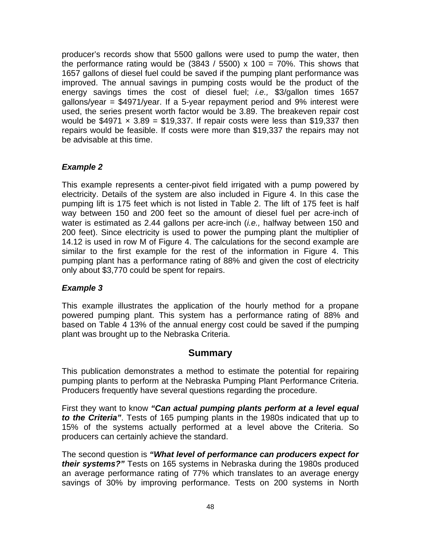producer's records show that 5500 gallons were used to pump the water, then the performance rating would be  $(3843 / 5500) \times 100 = 70\%$ . This shows that 1657 gallons of diesel fuel could be saved if the pumping plant performance was improved. The annual savings in pumping costs would be the product of the energy savings times the cost of diesel fuel; *i.e.,* \$3/gallon times 1657 gallons/year = \$4971/year. If a 5-year repayment period and 9% interest were used, the series present worth factor would be 3.89. The breakeven repair cost would be  $$4971 \times 3.89 = $19,337$ . If repair costs were less than \$19,337 then repairs would be feasible. If costs were more than \$19,337 the repairs may not be advisable at this time.

#### *Example 2*

This example represents a center-pivot field irrigated with a pump powered by electricity. Details of the system are also included in Figure 4. In this case the pumping lift is 175 feet which is not listed in Table 2. The lift of 175 feet is half way between 150 and 200 feet so the amount of diesel fuel per acre-inch of water is estimated as 2.44 gallons per acre-inch (*i.e.,* halfway between 150 and 200 feet). Since electricity is used to power the pumping plant the multiplier of 14.12 is used in row M of Figure 4. The calculations for the second example are similar to the first example for the rest of the information in Figure 4. This pumping plant has a performance rating of 88% and given the cost of electricity only about \$3,770 could be spent for repairs.

#### *Example 3*

This example illustrates the application of the hourly method for a propane powered pumping plant. This system has a performance rating of 88% and based on Table 4 13% of the annual energy cost could be saved if the pumping plant was brought up to the Nebraska Criteria.

### **Summary**

This publication demonstrates a method to estimate the potential for repairing pumping plants to perform at the Nebraska Pumping Plant Performance Criteria. Producers frequently have several questions regarding the procedure.

First they want to know *"Can actual pumping plants perform at a level equal to the Criteria"*. Tests of 165 pumping plants in the 1980s indicated that up to 15% of the systems actually performed at a level above the Criteria. So producers can certainly achieve the standard.

The second question is *"What level of performance can producers expect for their systems?"* Tests on 165 systems in Nebraska during the 1980s produced an average performance rating of 77% which translates to an average energy savings of 30% by improving performance. Tests on 200 systems in North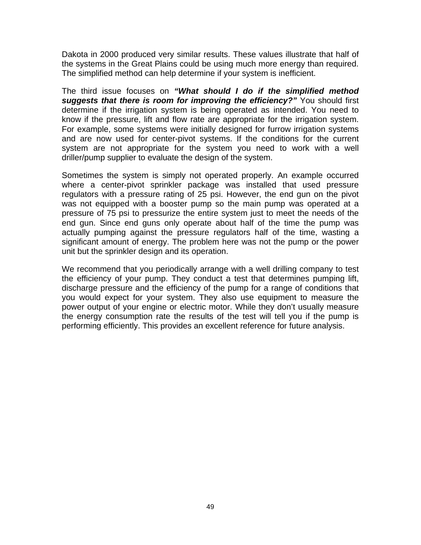Dakota in 2000 produced very similar results. These values illustrate that half of the systems in the Great Plains could be using much more energy than required. The simplified method can help determine if your system is inefficient.

The third issue focuses on *"What should I do if the simplified method suggests that there is room for improving the efficiency?"* You should first determine if the irrigation system is being operated as intended. You need to know if the pressure, lift and flow rate are appropriate for the irrigation system. For example, some systems were initially designed for furrow irrigation systems and are now used for center-pivot systems. If the conditions for the current system are not appropriate for the system you need to work with a well driller/pump supplier to evaluate the design of the system.

Sometimes the system is simply not operated properly. An example occurred where a center-pivot sprinkler package was installed that used pressure regulators with a pressure rating of 25 psi. However, the end gun on the pivot was not equipped with a booster pump so the main pump was operated at a pressure of 75 psi to pressurize the entire system just to meet the needs of the end gun. Since end guns only operate about half of the time the pump was actually pumping against the pressure regulators half of the time, wasting a significant amount of energy. The problem here was not the pump or the power unit but the sprinkler design and its operation.

We recommend that you periodically arrange with a well drilling company to test the efficiency of your pump. They conduct a test that determines pumping lift, discharge pressure and the efficiency of the pump for a range of conditions that you would expect for your system. They also use equipment to measure the power output of your engine or electric motor. While they don't usually measure the energy consumption rate the results of the test will tell you if the pump is performing efficiently. This provides an excellent reference for future analysis.